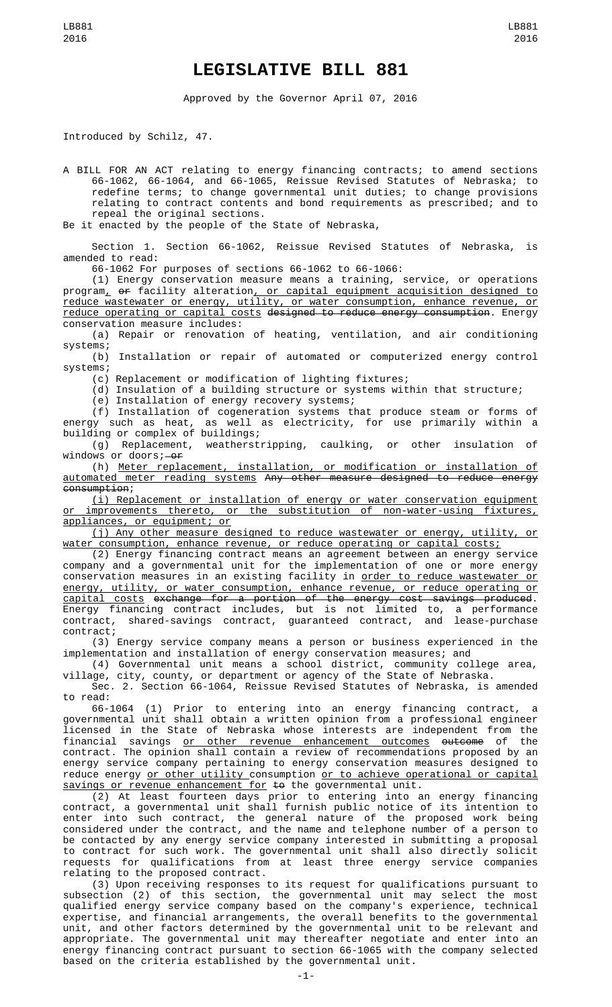## **LEGISLATIVE BILL 881**

Approved by the Governor April 07, 2016

Introduced by Schilz, 47.

A BILL FOR AN ACT relating to energy financing contracts; to amend sections 66-1062, 66-1064, and 66-1065, Reissue Revised Statutes of Nebraska; to redefine terms; to change governmental unit duties; to change provisions relating to contract contents and bond requirements as prescribed; and to repeal the original sections.

Be it enacted by the people of the State of Nebraska,

Section 1. Section 66-1062, Reissue Revised Statutes of Nebraska, is amended to read:

66-1062 For purposes of sections 66-1062 to 66-1066:

(1) Energy conservation measure means a training, service, or operations program<u>,</u> <del>or</del> facility alteration<u>, or capital equipment acquisition designed to</u> reduce wastewater or energy, utility, or water consumption, enhance revenue, or reduce operating or capital costs designed to reduce energy consumption. Energy conservation measure includes:

(a) Repair or renovation of heating, ventilation, and air conditioning systems;

(b) Installation or repair of automated or computerized energy control systems;

(c) Replacement or modification of lighting fixtures;

(d) Insulation of a building structure or systems within that structure;

(e) Installation of energy recovery systems;

(f) Installation of cogeneration systems that produce steam or forms of energy such as heat, as well as electricity, for use primarily within a building or complex of buildings;

(g) Replacement, weatherstripping, caulking, or other insulation of windows or doors; - or

(h) Meter replacement, installation, or modification or installation of automated meter reading systems Any other measure designed to reduce energy consumption;

(i) Replacement or installation of energy or water conservation equipment or improvements thereto, or the substitution of non-water-using fixtures, appliances, or equipment; or

(j) Any other measure designed to reduce wastewater or energy, utility, or water consumption, enhance revenue, or reduce operating or capital costs;

(2) Energy financing contract means an agreement between an energy service company and a governmental unit for the implementation of one or more energy conservation measures in an existing facility in <u>order to reduce wastewater or</u> energy, utility, or water consumption, enhance revenue, or reduce operating or capital costs exchange for a portion of the energy cost savings produced. Energy financing contract includes, but is not limited to, a performance contract, shared-savings contract, guaranteed contract, and lease-purchase contract;

(3) Energy service company means a person or business experienced in the implementation and installation of energy conservation measures; and

(4) Governmental unit means a school district, community college area, village, city, county, or department or agency of the State of Nebraska.

Sec. 2. Section 66-1064, Reissue Revised Statutes of Nebraska, is amended to read:

66-1064 (1) Prior to entering into an energy financing contract, a governmental unit shall obtain a written opinion from a professional engineer licensed in the State of Nebraska whose interests are independent from the financial savings or other revenue enhancement outcomes outcome of the contract. The opinion shall contain a review of recommendations proposed by an energy service company pertaining to energy conservation measures designed to reduce energy or other utility consumption or to achieve operational or capital savings or revenue enhancement for to the governmental unit.

(2) At least fourteen days prior to entering into an energy financing contract, a governmental unit shall furnish public notice of its intention to enter into such contract, the general nature of the proposed work being considered under the contract, and the name and telephone number of a person to be contacted by any energy service company interested in submitting a proposal to contract for such work. The governmental unit shall also directly solicit requests for qualifications from at least three energy service companies relating to the proposed contract.

(3) Upon receiving responses to its request for qualifications pursuant to subsection (2) of this section, the governmental unit may select the most qualified energy service company based on the company's experience, technical expertise, and financial arrangements, the overall benefits to the governmental unit, and other factors determined by the governmental unit to be relevant and appropriate. The governmental unit may thereafter negotiate and enter into an energy financing contract pursuant to section 66-1065 with the company selected based on the criteria established by the governmental unit.